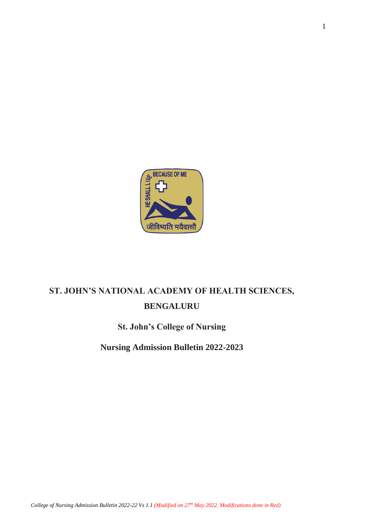

# **ST. JOHN'S NATIONAL ACADEMY OF HEALTH SCIENCES, BENGALURU**

## **St. John's College of Nursing**

**Nursing Admission Bulletin 2022-2023**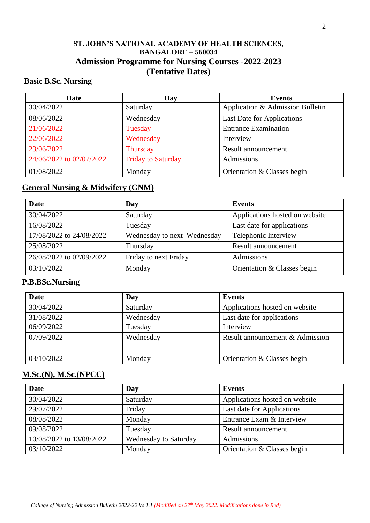### **ST. JOHN'S NATIONAL ACADEMY OF HEALTH SCIENCES, BANGALORE – 560034 Admission Programme for Nursing Courses -2022-2023 (Tentative Dates)**

### **Basic B.Sc. Nursing**

| <b>Date</b>              | Day                       | <b>Events</b>                    |  |  |
|--------------------------|---------------------------|----------------------------------|--|--|
| 30/04/2022               | Saturday                  | Application & Admission Bulletin |  |  |
| 08/06/2022               | Wednesday                 | Last Date for Applications       |  |  |
| 21/06/2022               | Tuesday                   | <b>Entrance Examination</b>      |  |  |
| 22/06/2022               | Wednesday                 | Interview                        |  |  |
| 23/06/2022               | Thursday                  | Result announcement              |  |  |
| 24/06/2022 to 02/07/2022 | <b>Friday to Saturday</b> | Admissions                       |  |  |
| 01/08/2022               | Monday                    | Orientation & Classes begin      |  |  |

### **General Nursing & Midwifery (GNM)**

| Date                     | Day                         | <b>Events</b>                  |  |  |
|--------------------------|-----------------------------|--------------------------------|--|--|
| 30/04/2022               | Saturday                    | Applications hosted on website |  |  |
| 16/08/2022               | Tuesday                     | Last date for applications     |  |  |
| 17/08/2022 to 24/08/2022 | Wednesday to next Wednesday | Telephonic Interview           |  |  |
| 25/08/2022               | Thursday                    | Result announcement            |  |  |
| 26/08/2022 to 02/09/2022 | Friday to next Friday       | Admissions                     |  |  |
| 03/10/2022               | Monday                      | Orientation & Classes begin    |  |  |

### **P.B.BSc.Nursing**

| <b>Date</b> | Day       | <b>Events</b>                           |  |
|-------------|-----------|-----------------------------------------|--|
| 30/04/2022  | Saturday  | Applications hosted on website          |  |
| 31/08/2022  | Wednesday | Last date for applications<br>Interview |  |
| 06/09/2022  | Tuesday   |                                         |  |
| 07/09/2022  | Wednesday | Result announcement & Admission         |  |
| 03/10/2022  | Monday    | Orientation & Classes begin             |  |

### **M.Sc.(N), M.Sc.(NPCC)**

| <b>Date</b>              | Day                          | <b>Events</b>                  |  |  |
|--------------------------|------------------------------|--------------------------------|--|--|
| 30/04/2022               | Saturday                     | Applications hosted on website |  |  |
| 29/07/2022               | Friday                       | Last date for Applications     |  |  |
| 08/08/2022               | Monday                       | Entrance Exam & Interview      |  |  |
| 09/08/2022               | Tuesday                      | Result announcement            |  |  |
| 10/08/2022 to 13/08/2022 | <b>Wednesday to Saturday</b> | Admissions                     |  |  |
| 03/10/2022               | Monday                       | Orientation & Classes begin    |  |  |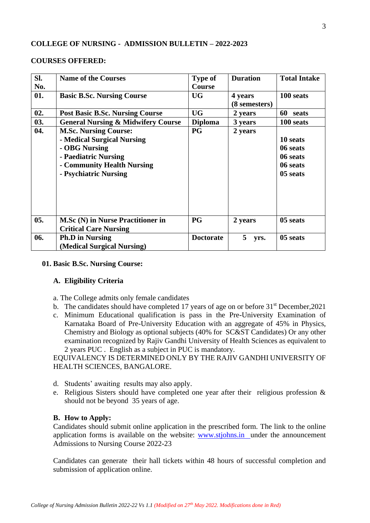### **COLLEGE OF NURSING - ADMISSION BULLETIN – 2022-2023**

#### **COURSES OFFERED:**

| SI.<br>No. | <b>Name of the Courses</b>                                                                                                                                 | <b>Type of</b><br><b>Course</b> | <b>Duration</b>          | <b>Total Intake</b>                                      |
|------------|------------------------------------------------------------------------------------------------------------------------------------------------------------|---------------------------------|--------------------------|----------------------------------------------------------|
| 01.        | <b>Basic B.Sc. Nursing Course</b>                                                                                                                          | <b>UG</b>                       | 4 years<br>(8 semesters) | 100 seats                                                |
| 02.        | <b>Post Basic B.Sc. Nursing Course</b>                                                                                                                     | <b>UG</b>                       | 2 years                  | 60<br>seats                                              |
| 03.        | <b>General Nursing &amp; Midwifery Course</b>                                                                                                              | <b>Diploma</b>                  | 3 years                  | 100 seats                                                |
| 04.        | <b>M.Sc. Nursing Course:</b><br>- Medical Surgical Nursing<br>- OBG Nursing<br>- Paediatric Nursing<br>- Community Health Nursing<br>- Psychiatric Nursing | PG                              | 2 years                  | 10 seats<br>06 seats<br>06 seats<br>06 seats<br>05 seats |
| 05.        | <b>M.Sc (N) in Nurse Practitioner in</b><br><b>Critical Care Nursing</b>                                                                                   | <b>PG</b>                       | 2 years                  | 05 seats                                                 |
| 06.        | <b>Ph.D</b> in Nursing<br>(Medical Surgical Nursing)                                                                                                       | <b>Doctorate</b>                | 5<br>yrs.                | 05 seats                                                 |

#### **01. Basic B.Sc. Nursing Course:**

#### **A. Eligibility Criteria**

- a. The College admits only female candidates
- b. The candidates should have completed 17 years of age on or before  $31<sup>st</sup>$  December, 2021
- c. Minimum Educational qualification is pass in the Pre-University Examination of Karnataka Board of Pre-University Education with an aggregate of 45% in Physics, Chemistry and Biology as optional subjects (40% for SC&ST Candidates) Or any other examination recognized by Rajiv Gandhi University of Health Sciences as equivalent to 2 years PUC . English as a subject in PUC is mandatory.

EQUIVALENCY IS DETERMINED ONLY BY THE RAJIV GANDHI UNIVERSITY OF HEALTH SCIENCES, BANGALORE.

- d. Students' awaiting results may also apply.
- e. Religious Sisters should have completed one year after their religious profession & should not be beyond 35 years of age.

### **B. How to Apply:**

Candidates should submit online application in the prescribed form. The link to the online application forms is available on the website: [www.stjohns.in](http://www.stjohns.in/) under the announcement Admissions to Nursing Course 2022-23

Candidates can generate their hall tickets within 48 hours of successful completion and submission of application online.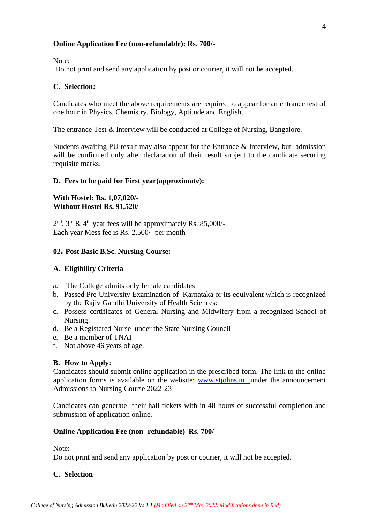### **Online Application Fee (non-refundable): Rs. 700/-**

Note:

Do not print and send any application by post or courier, it will not be accepted.

### **C. Selection:**

Candidates who meet the above requirements are required to appear for an entrance test of one hour in Physics, Chemistry, Biology, Aptitude and English.

The entrance Test & Interview will be conducted at College of Nursing, Bangalore.

Students awaiting PU result may also appear for the Entrance & Interview, but admission will be confirmed only after declaration of their result subject to the candidate securing requisite marks.

### **D. Fees to be paid for First year(approximate):**

### **With Hostel: Rs. 1,07,020/- Without Hostel Rs. 91,520/-**

 $2<sup>nd</sup>$ ,  $3<sup>rd</sup>$  & 4<sup>th</sup> year fees will be approximately Rs. 85,000/-Each year Mess fee is Rs. 2,500/- per month

### **02. Post Basic B.Sc. Nursing Course:**

### **A. Eligibility Criteria**

- a. The College admits only female candidates
- b. Passed Pre-University Examination of Karnataka or its equivalent which is recognized by the Rajiv Gandhi University of Health Sciences:
- c. Possess certificates of General Nursing and Midwifery from a recognized School of Nursing.
- d. Be a Registered Nurse under the State Nursing Council
- e. Be a member of TNAI
- f. Not above 46 years of age.

### **B. How to Apply:**

Candidates should submit online application in the prescribed form. The link to the online application forms is available on the website: [www.stjohns.in](http://www.stjohns.in/) under the announcement Admissions to Nursing Course 2022-23

Candidates can generate their hall tickets with in 48 hours of successful completion and submission of application online.

### **Online Application Fee (non- refundable) Rs. 700/-**

Note:

Do not print and send any application by post or courier, it will not be accepted.

### **C. Selection**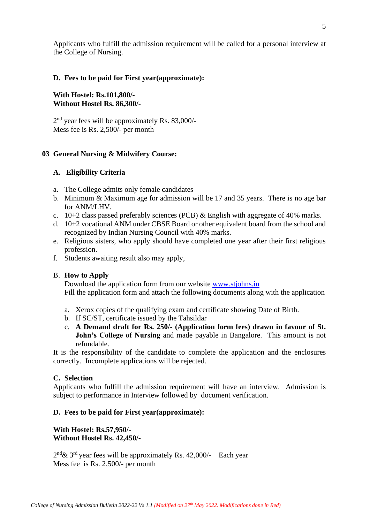Applicants who fulfill the admission requirement will be called for a personal interview at the College of Nursing.

### **D. Fees to be paid for First year(approximate):**

### **With Hostel: Rs.101,800/- Without Hostel Rs. 86,300/-**

2<sup>nd</sup> year fees will be approximately Rs. 83,000/-Mess fee is Rs. 2,500/- per month

### **03 General Nursing & Midwifery Course:**

### **A. Eligibility Criteria**

- a. The College admits only female candidates
- b. Minimum & Maximum age for admission will be 17 and 35 years. There is no age bar for ANM/LHV.
- c.  $10+2$  class passed preferably sciences (PCB) & English with aggregate of 40% marks.
- d. 10+2 vocational ANM under CBSE Board or other equivalent board from the school and recognized by Indian Nursing Council with 40% marks.
- e. Religious sisters, who apply should have completed one year after their first religious profession.
- f. Students awaiting result also may apply,

### B. **How to Apply**

Download the application form from our website [www.stjohns.in](http://www.stjohns.in/)  Fill the application form and attach the following documents along with the application

- a. Xerox copies of the qualifying exam and certificate showing Date of Birth.
- b. If SC/ST, certificate issued by the Tahsildar
- c. **A Demand draft for Rs. 250/- (Application form fees) drawn in favour of St. John's College of Nursing** and made payable in Bangalore. This amount is not refundable.

It is the responsibility of the candidate to complete the application and the enclosures correctly. Incomplete applications will be rejected.

### **C. Selection**

Applicants who fulfill the admission requirement will have an interview. Admission is subject to performance in Interview followed by document verification.

### **D. Fees to be paid for First year(approximate):**

**With Hostel: Rs.57,950/- Without Hostel Rs. 42,450/-**

 $2<sup>nd</sup> \& 3<sup>rd</sup>$  year fees will be approximately Rs. 42,000/- Each year Mess fee is Rs. 2,500/- per month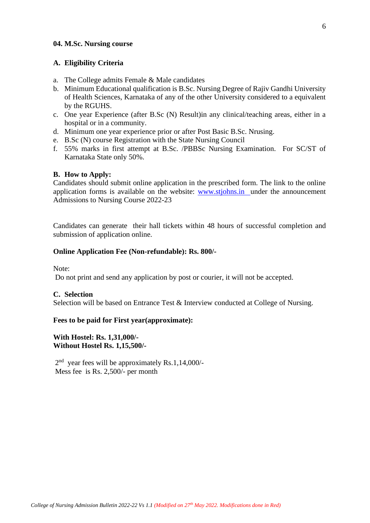### **04. M.Sc. Nursing course**

#### **A. Eligibility Criteria**

- a. The College admits Female & Male candidates
- b. Minimum Educational qualification is B.Sc. Nursing Degree of Rajiv Gandhi University of Health Sciences, Karnataka of any of the other University considered to a equivalent by the RGUHS.
- c. One year Experience (after B.Sc (N) Result)in any clinical/teaching areas, either in a hospital or in a community.
- d. Minimum one year experience prior or after Post Basic B.Sc. Nrusing.
- e. B.Sc (N) course Registration with the State Nursing Council
- f. 55% marks in first attempt at B.Sc. /PBBSc Nursing Examination. For SC/ST of Karnataka State only 50%.

#### **B. How to Apply:**

Candidates should submit online application in the prescribed form. The link to the online application forms is available on the website: [www.stjohns.in](http://www.stjohns.in/) under the announcement Admissions to Nursing Course 2022-23

Candidates can generate their hall tickets within 48 hours of successful completion and submission of application online.

#### **Online Application Fee (Non-refundable): Rs. 800/-**

Note:

Do not print and send any application by post or courier, it will not be accepted.

#### **C. Selection**

Selection will be based on Entrance Test & Interview conducted at College of Nursing.

#### **Fees to be paid for First year(approximate):**

### **With Hostel: Rs. 1,31,000/- Without Hostel Rs. 1,15,500/-**

2<sup>nd</sup> year fees will be approximately Rs.1,14,000/-Mess fee is Rs. 2,500/- per month